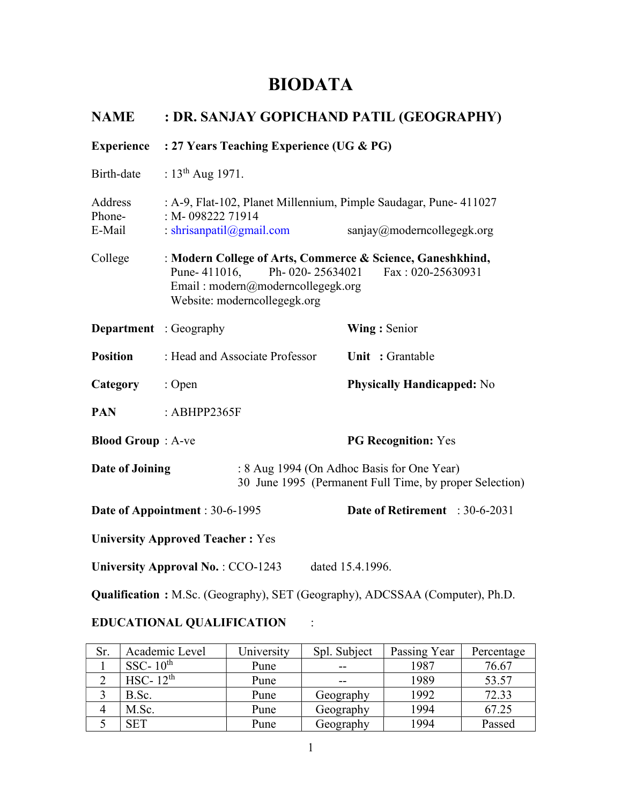# BIODATA

| <b>NAME</b>                   | : DR. SANJAY GOPICHAND PATIL (GEOGRAPHY)                                                                                                                                                |  |                  |                                   |                                                                              |                                                         |  |
|-------------------------------|-----------------------------------------------------------------------------------------------------------------------------------------------------------------------------------------|--|------------------|-----------------------------------|------------------------------------------------------------------------------|---------------------------------------------------------|--|
| <b>Experience</b>             | : 27 Years Teaching Experience (UG & PG)                                                                                                                                                |  |                  |                                   |                                                                              |                                                         |  |
| Birth-date                    | : $13^{th}$ Aug 1971.                                                                                                                                                                   |  |                  |                                   |                                                                              |                                                         |  |
| Address<br>Phone-<br>E-Mail   | : A-9, Flat-102, Planet Millennium, Pimple Saudagar, Pune- 411027<br>: M-098222 71914<br>: shrisanpatil@gmail.com                                                                       |  |                  | sanjay@moderncollegegk.org        |                                                                              |                                                         |  |
| College                       | : Modern College of Arts, Commerce & Science, Ganeshkhind,<br>Ph-020-25634021<br>Pune-411016,<br>Fax: 020-25630931<br>Email: modern@moderncollegegk.org<br>Website: moderncollegegk.org |  |                  |                                   |                                                                              |                                                         |  |
| <b>Department</b> : Geography |                                                                                                                                                                                         |  |                  | Wing: Senior                      |                                                                              |                                                         |  |
| <b>Position</b>               | : Head and Associate Professor                                                                                                                                                          |  |                  | Unit: Grantable                   |                                                                              |                                                         |  |
| Category                      | : Open                                                                                                                                                                                  |  |                  | <b>Physically Handicapped: No</b> |                                                                              |                                                         |  |
| <b>PAN</b>                    | : $ABHPP2365F$                                                                                                                                                                          |  |                  |                                   |                                                                              |                                                         |  |
| <b>Blood Group</b> : A-ve     |                                                                                                                                                                                         |  |                  |                                   | <b>PG Recognition: Yes</b>                                                   |                                                         |  |
| Date of Joining               |                                                                                                                                                                                         |  |                  |                                   | : 8 Aug 1994 (On Adhoc Basis for One Year)                                   | 30 June 1995 (Permanent Full Time, by proper Selection) |  |
|                               | Date of Appointment: 30-6-1995                                                                                                                                                          |  |                  |                                   | Date of Retirement : 30-6-2031                                               |                                                         |  |
|                               | <b>University Approved Teacher: Yes</b>                                                                                                                                                 |  |                  |                                   |                                                                              |                                                         |  |
|                               | University Approval No.: CCO-1243                                                                                                                                                       |  | dated 15.4.1996. |                                   |                                                                              |                                                         |  |
|                               |                                                                                                                                                                                         |  |                  |                                   | Qualification: M.Sc. (Geography), SET (Geography), ADCSSAA (Computer), Ph.D. |                                                         |  |

# EDUCATIONAL QUALIFICATION :

| Sr. | Academic Level        | University | Spl. Subject | Passing Year | Percentage |
|-----|-----------------------|------------|--------------|--------------|------------|
|     | SSC- $10^{\text{th}}$ | Pune       |              | 1987         | 76.67      |
|     | HSC- $12th$           | Pune       |              | 1989         | 53.57      |
|     | B.Sc.                 | Pune       | Geography    | 1992         | 72.33      |
|     | M.Sc.                 | Pune       | Geography    | 1994         | 67.25      |
|     | <b>SET</b>            | Pune       | Geography    | 1994         | Passed     |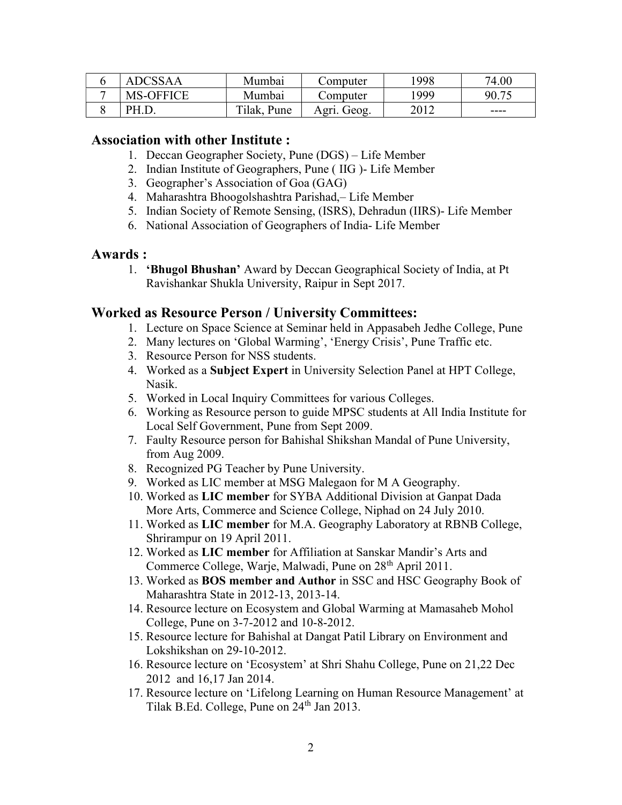| ADCSSAA          | Mumbai      | Computer    | !998 | 74.00 |
|------------------|-------------|-------------|------|-------|
| <b>MS-OFFICE</b> | Mumbai      | Computer    | 1999 | 90.75 |
| PH.D.            | Tilak, Pune | Agri. Geog. | 2012 | ----  |

#### Association with other Institute :

- 1. Deccan Geographer Society, Pune (DGS) Life Member
- 2. Indian Institute of Geographers, Pune ( IIG )- Life Member
- 3. Geographer's Association of Goa (GAG)
- 4. Maharashtra Bhoogolshashtra Parishad,– Life Member
- 5. Indian Society of Remote Sensing, (ISRS), Dehradun (IIRS)- Life Member
- 6. National Association of Geographers of India- Life Member

#### Awards :

1. 'Bhugol Bhushan' Award by Deccan Geographical Society of India, at Pt Ravishankar Shukla University, Raipur in Sept 2017.

# Worked as Resource Person / University Committees:

- 1. Lecture on Space Science at Seminar held in Appasabeh Jedhe College, Pune
- 2. Many lectures on 'Global Warming', 'Energy Crisis', Pune Traffic etc.
- 3. Resource Person for NSS students.
- 4. Worked as a Subject Expert in University Selection Panel at HPT College, Nasik.
- 5. Worked in Local Inquiry Committees for various Colleges.
- 6. Working as Resource person to guide MPSC students at All India Institute for Local Self Government, Pune from Sept 2009.
- 7. Faulty Resource person for Bahishal Shikshan Mandal of Pune University, from Aug 2009.
- 8. Recognized PG Teacher by Pune University.
- 9. Worked as LIC member at MSG Malegaon for M A Geography.
- 10. Worked as LIC member for SYBA Additional Division at Ganpat Dada More Arts, Commerce and Science College, Niphad on 24 July 2010.
- 11. Worked as LIC member for M.A. Geography Laboratory at RBNB College, Shrirampur on 19 April 2011.
- 12. Worked as LIC member for Affiliation at Sanskar Mandir's Arts and Commerce College, Warje, Malwadi, Pune on 28<sup>th</sup> April 2011.
- 13. Worked as BOS member and Author in SSC and HSC Geography Book of Maharashtra State in 2012-13, 2013-14.
- 14. Resource lecture on Ecosystem and Global Warming at Mamasaheb Mohol College, Pune on 3-7-2012 and 10-8-2012.
- 15. Resource lecture for Bahishal at Dangat Patil Library on Environment and Lokshikshan on 29-10-2012.
- 16. Resource lecture on 'Ecosystem' at Shri Shahu College, Pune on 21,22 Dec 2012 and 16,17 Jan 2014.
- 17. Resource lecture on 'Lifelong Learning on Human Resource Management' at Tilak B.Ed. College, Pune on  $24<sup>th</sup>$  Jan 2013.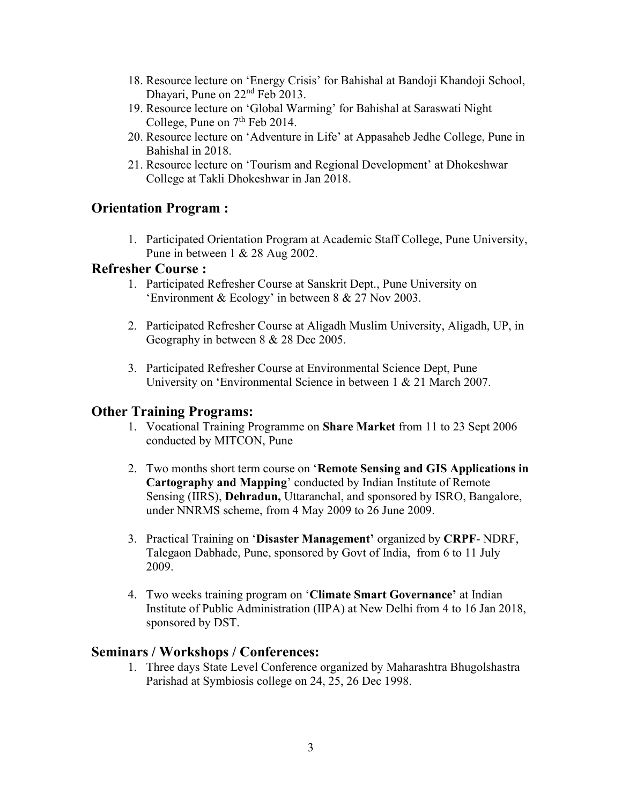- 18. Resource lecture on 'Energy Crisis' for Bahishal at Bandoji Khandoji School, Dhayari, Pune on 22<sup>nd</sup> Feb 2013.
- 19. Resource lecture on 'Global Warming' for Bahishal at Saraswati Night College, Pune on  $7<sup>th</sup>$  Feb 2014.
- 20. Resource lecture on 'Adventure in Life' at Appasaheb Jedhe College, Pune in Bahishal in 2018.
- 21. Resource lecture on 'Tourism and Regional Development' at Dhokeshwar College at Takli Dhokeshwar in Jan 2018.

# Orientation Program :

1. Participated Orientation Program at Academic Staff College, Pune University, Pune in between 1 & 28 Aug 2002.

#### Refresher Course :

- 1. Participated Refresher Course at Sanskrit Dept., Pune University on 'Environment & Ecology' in between 8 & 27 Nov 2003.
- 2. Participated Refresher Course at Aligadh Muslim University, Aligadh, UP, in Geography in between 8 & 28 Dec 2005.
- 3. Participated Refresher Course at Environmental Science Dept, Pune University on 'Environmental Science in between 1 & 21 March 2007.

# Other Training Programs:

- 1. Vocational Training Programme on Share Market from 11 to 23 Sept 2006 conducted by MITCON, Pune
- 2. Two months short term course on 'Remote Sensing and GIS Applications in Cartography and Mapping' conducted by Indian Institute of Remote Sensing (IIRS), Dehradun, Uttaranchal, and sponsored by ISRO, Bangalore, under NNRMS scheme, from 4 May 2009 to 26 June 2009.
- 3. Practical Training on 'Disaster Management' organized by CRPF- NDRF, Talegaon Dabhade, Pune, sponsored by Govt of India, from 6 to 11 July 2009.
- 4. Two weeks training program on 'Climate Smart Governance' at Indian Institute of Public Administration (IIPA) at New Delhi from 4 to 16 Jan 2018, sponsored by DST.

#### Seminars / Workshops / Conferences:

1. Three days State Level Conference organized by Maharashtra Bhugolshastra Parishad at Symbiosis college on 24, 25, 26 Dec 1998.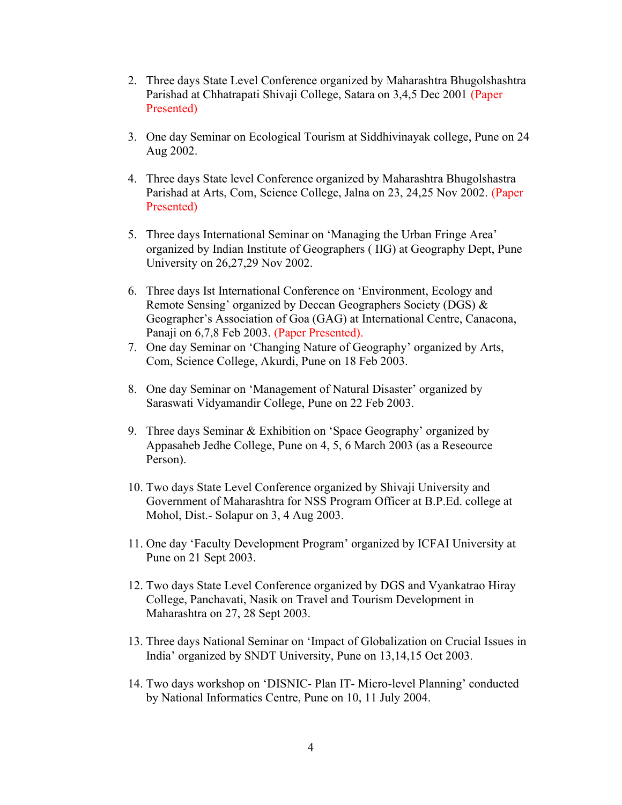- 2. Three days State Level Conference organized by Maharashtra Bhugolshashtra Parishad at Chhatrapati Shivaji College, Satara on 3,4,5 Dec 2001 (Paper Presented)
- 3. One day Seminar on Ecological Tourism at Siddhivinayak college, Pune on 24 Aug 2002.
- 4. Three days State level Conference organized by Maharashtra Bhugolshastra Parishad at Arts, Com, Science College, Jalna on 23, 24,25 Nov 2002. (Paper Presented)
- 5. Three days International Seminar on 'Managing the Urban Fringe Area' organized by Indian Institute of Geographers ( IIG) at Geography Dept, Pune University on 26,27,29 Nov 2002.
- 6. Three days Ist International Conference on 'Environment, Ecology and Remote Sensing' organized by Deccan Geographers Society (DGS) & Geographer's Association of Goa (GAG) at International Centre, Canacona, Panaji on 6,7,8 Feb 2003. (Paper Presented).
- 7. One day Seminar on 'Changing Nature of Geography' organized by Arts, Com, Science College, Akurdi, Pune on 18 Feb 2003.
- 8. One day Seminar on 'Management of Natural Disaster' organized by Saraswati Vidyamandir College, Pune on 22 Feb 2003.
- 9. Three days Seminar & Exhibition on 'Space Geography' organized by Appasaheb Jedhe College, Pune on 4, 5, 6 March 2003 (as a Reseource Person).
- 10. Two days State Level Conference organized by Shivaji University and Government of Maharashtra for NSS Program Officer at B.P.Ed. college at Mohol, Dist.- Solapur on 3, 4 Aug 2003.
- 11. One day 'Faculty Development Program' organized by ICFAI University at Pune on 21 Sept 2003.
- 12. Two days State Level Conference organized by DGS and Vyankatrao Hiray College, Panchavati, Nasik on Travel and Tourism Development in Maharashtra on 27, 28 Sept 2003.
- 13. Three days National Seminar on 'Impact of Globalization on Crucial Issues in India' organized by SNDT University, Pune on 13,14,15 Oct 2003.
- 14. Two days workshop on 'DISNIC- Plan IT- Micro-level Planning' conducted by National Informatics Centre, Pune on 10, 11 July 2004.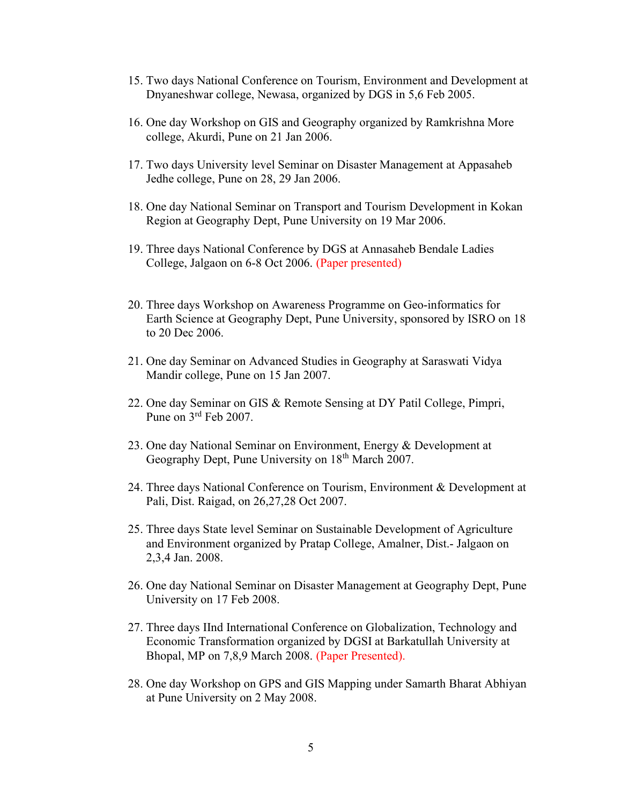- 15. Two days National Conference on Tourism, Environment and Development at Dnyaneshwar college, Newasa, organized by DGS in 5,6 Feb 2005.
- 16. One day Workshop on GIS and Geography organized by Ramkrishna More college, Akurdi, Pune on 21 Jan 2006.
- 17. Two days University level Seminar on Disaster Management at Appasaheb Jedhe college, Pune on 28, 29 Jan 2006.
- 18. One day National Seminar on Transport and Tourism Development in Kokan Region at Geography Dept, Pune University on 19 Mar 2006.
- 19. Three days National Conference by DGS at Annasaheb Bendale Ladies College, Jalgaon on 6-8 Oct 2006. (Paper presented)
- 20. Three days Workshop on Awareness Programme on Geo-informatics for Earth Science at Geography Dept, Pune University, sponsored by ISRO on 18 to 20 Dec 2006.
- 21. One day Seminar on Advanced Studies in Geography at Saraswati Vidya Mandir college, Pune on 15 Jan 2007.
- 22. One day Seminar on GIS & Remote Sensing at DY Patil College, Pimpri, Pune on 3rd Feb 2007.
- 23. One day National Seminar on Environment, Energy & Development at Geography Dept, Pune University on 18<sup>th</sup> March 2007.
- 24. Three days National Conference on Tourism, Environment & Development at Pali, Dist. Raigad, on 26,27,28 Oct 2007.
- 25. Three days State level Seminar on Sustainable Development of Agriculture and Environment organized by Pratap College, Amalner, Dist.- Jalgaon on 2,3,4 Jan. 2008.
- 26. One day National Seminar on Disaster Management at Geography Dept, Pune University on 17 Feb 2008.
- 27. Three days IInd International Conference on Globalization, Technology and Economic Transformation organized by DGSI at Barkatullah University at Bhopal, MP on 7,8,9 March 2008. (Paper Presented).
- 28. One day Workshop on GPS and GIS Mapping under Samarth Bharat Abhiyan at Pune University on 2 May 2008.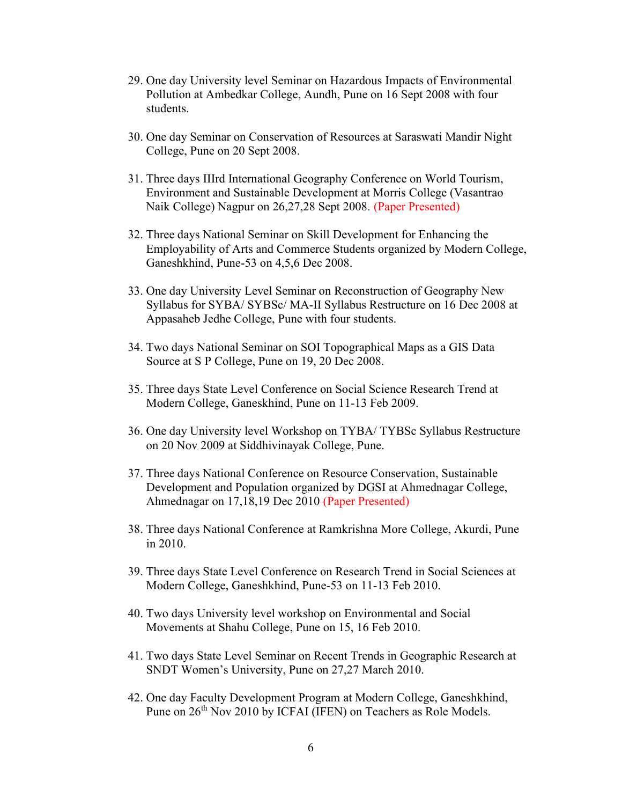- 29. One day University level Seminar on Hazardous Impacts of Environmental Pollution at Ambedkar College, Aundh, Pune on 16 Sept 2008 with four students.
- 30. One day Seminar on Conservation of Resources at Saraswati Mandir Night College, Pune on 20 Sept 2008.
- 31. Three days IIIrd International Geography Conference on World Tourism, Environment and Sustainable Development at Morris College (Vasantrao Naik College) Nagpur on 26,27,28 Sept 2008. (Paper Presented)
- 32. Three days National Seminar on Skill Development for Enhancing the Employability of Arts and Commerce Students organized by Modern College, Ganeshkhind, Pune-53 on 4,5,6 Dec 2008.
- 33. One day University Level Seminar on Reconstruction of Geography New Syllabus for SYBA/ SYBSc/ MA-II Syllabus Restructure on 16 Dec 2008 at Appasaheb Jedhe College, Pune with four students.
- 34. Two days National Seminar on SOI Topographical Maps as a GIS Data Source at S P College, Pune on 19, 20 Dec 2008.
- 35. Three days State Level Conference on Social Science Research Trend at Modern College, Ganeskhind, Pune on 11-13 Feb 2009.
- 36. One day University level Workshop on TYBA/ TYBSc Syllabus Restructure on 20 Nov 2009 at Siddhivinayak College, Pune.
- 37. Three days National Conference on Resource Conservation, Sustainable Development and Population organized by DGSI at Ahmednagar College, Ahmednagar on 17,18,19 Dec 2010 (Paper Presented)
- 38. Three days National Conference at Ramkrishna More College, Akurdi, Pune in 2010.
- 39. Three days State Level Conference on Research Trend in Social Sciences at Modern College, Ganeshkhind, Pune-53 on 11-13 Feb 2010.
- 40. Two days University level workshop on Environmental and Social Movements at Shahu College, Pune on 15, 16 Feb 2010.
- 41. Two days State Level Seminar on Recent Trends in Geographic Research at SNDT Women's University, Pune on 27,27 March 2010.
- 42. One day Faculty Development Program at Modern College, Ganeshkhind, Pune on 26<sup>th</sup> Nov 2010 by ICFAI (IFEN) on Teachers as Role Models.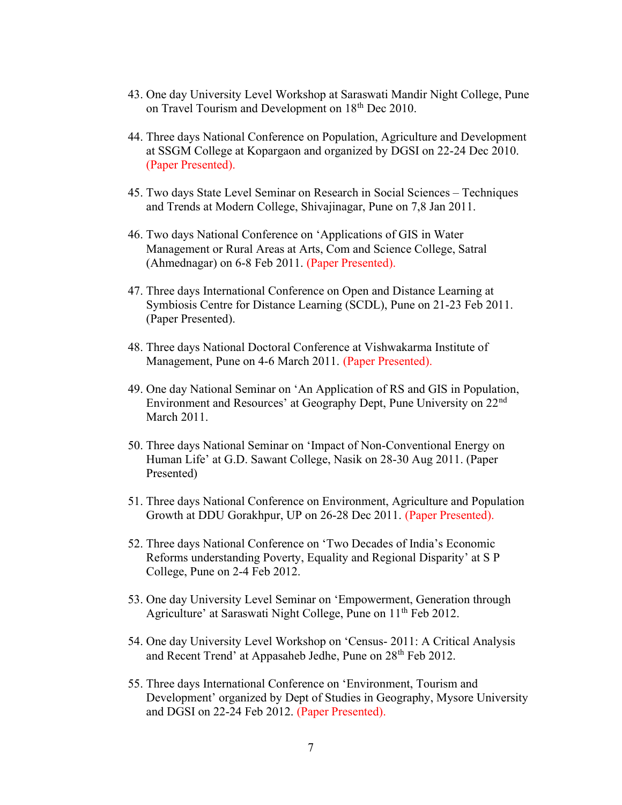- 43. One day University Level Workshop at Saraswati Mandir Night College, Pune on Travel Tourism and Development on 18<sup>th</sup> Dec 2010.
- 44. Three days National Conference on Population, Agriculture and Development at SSGM College at Kopargaon and organized by DGSI on 22-24 Dec 2010. (Paper Presented).
- 45. Two days State Level Seminar on Research in Social Sciences Techniques and Trends at Modern College, Shivajinagar, Pune on 7,8 Jan 2011.
- 46. Two days National Conference on 'Applications of GIS in Water Management or Rural Areas at Arts, Com and Science College, Satral (Ahmednagar) on 6-8 Feb 2011. (Paper Presented).
- 47. Three days International Conference on Open and Distance Learning at Symbiosis Centre for Distance Learning (SCDL), Pune on 21-23 Feb 2011. (Paper Presented).
- 48. Three days National Doctoral Conference at Vishwakarma Institute of Management, Pune on 4-6 March 2011. (Paper Presented).
- 49. One day National Seminar on 'An Application of RS and GIS in Population, Environment and Resources' at Geography Dept, Pune University on 22<sup>nd</sup> March 2011.
- 50. Three days National Seminar on 'Impact of Non-Conventional Energy on Human Life' at G.D. Sawant College, Nasik on 28-30 Aug 2011. (Paper Presented)
- 51. Three days National Conference on Environment, Agriculture and Population Growth at DDU Gorakhpur, UP on 26-28 Dec 2011. (Paper Presented).
- 52. Three days National Conference on 'Two Decades of India's Economic Reforms understanding Poverty, Equality and Regional Disparity' at S P College, Pune on 2-4 Feb 2012.
- 53. One day University Level Seminar on 'Empowerment, Generation through Agriculture' at Saraswati Night College, Pune on 11<sup>th</sup> Feb 2012.
- 54. One day University Level Workshop on 'Census- 2011: A Critical Analysis and Recent Trend' at Appasaheb Jedhe, Pune on 28<sup>th</sup> Feb 2012.
- 55. Three days International Conference on 'Environment, Tourism and Development' organized by Dept of Studies in Geography, Mysore University and DGSI on 22-24 Feb 2012. (Paper Presented).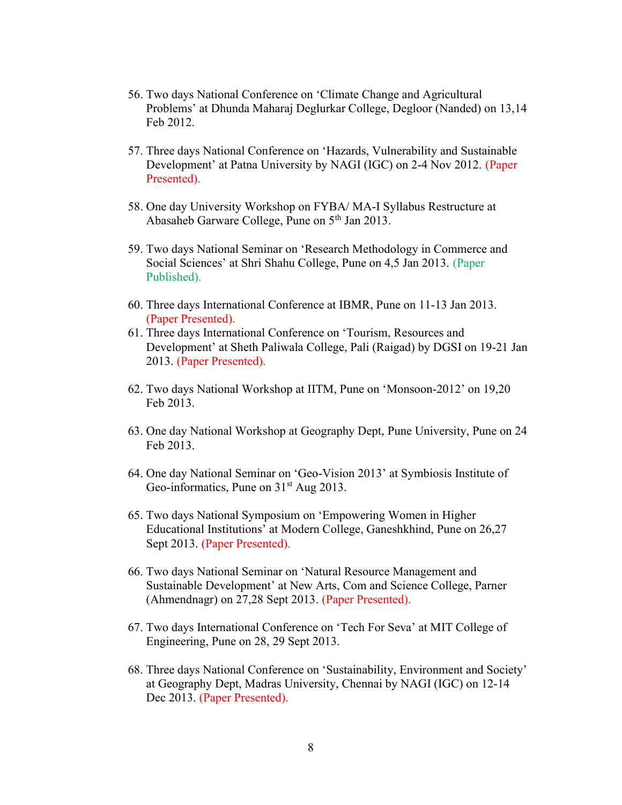- 56. Two days National Conference on 'Climate Change and Agricultural Problems' at Dhunda Maharaj Deglurkar College, Degloor (Nanded) on 13,14 Feb 2012.
- 57. Three days National Conference on 'Hazards, Vulnerability and Sustainable Development' at Patna University by NAGI (IGC) on 2-4 Nov 2012. (Paper Presented).
- 58. One day University Workshop on FYBA/ MA-I Syllabus Restructure at Abasaheb Garware College, Pune on 5<sup>th</sup> Jan 2013.
- 59. Two days National Seminar on 'Research Methodology in Commerce and Social Sciences' at Shri Shahu College, Pune on 4,5 Jan 2013. (Paper Published).
- 60. Three days International Conference at IBMR, Pune on 11-13 Jan 2013. (Paper Presented).
- 61. Three days International Conference on 'Tourism, Resources and Development' at Sheth Paliwala College, Pali (Raigad) by DGSI on 19-21 Jan 2013. (Paper Presented).
- 62. Two days National Workshop at IITM, Pune on 'Monsoon-2012' on 19,20 Feb 2013.
- 63. One day National Workshop at Geography Dept, Pune University, Pune on 24 Feb 2013.
- 64. One day National Seminar on 'Geo-Vision 2013' at Symbiosis Institute of Geo-informatics, Pune on  $31<sup>st</sup>$  Aug 2013.
- 65. Two days National Symposium on 'Empowering Women in Higher Educational Institutions' at Modern College, Ganeshkhind, Pune on 26,27 Sept 2013. (Paper Presented).
- 66. Two days National Seminar on 'Natural Resource Management and Sustainable Development' at New Arts, Com and Science College, Parner (Ahmendnagr) on 27,28 Sept 2013. (Paper Presented).
- 67. Two days International Conference on 'Tech For Seva' at MIT College of Engineering, Pune on 28, 29 Sept 2013.
- 68. Three days National Conference on 'Sustainability, Environment and Society' at Geography Dept, Madras University, Chennai by NAGI (IGC) on 12-14 Dec 2013. (Paper Presented).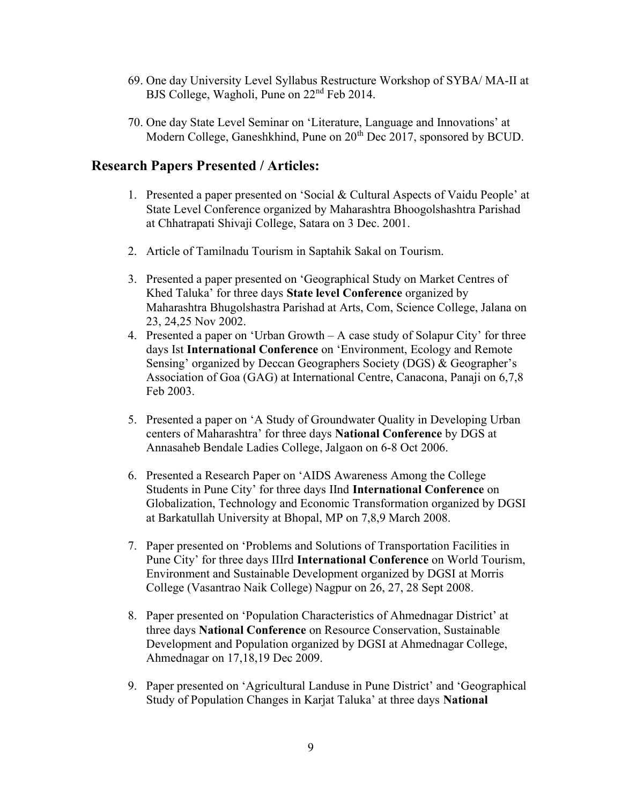- 69. One day University Level Syllabus Restructure Workshop of SYBA/ MA-II at BJS College, Wagholi, Pune on 22<sup>nd</sup> Feb 2014.
- 70. One day State Level Seminar on 'Literature, Language and Innovations' at Modern College, Ganeshkhind, Pune on 20<sup>th</sup> Dec 2017, sponsored by BCUD.

### Research Papers Presented / Articles:

- 1. Presented a paper presented on 'Social & Cultural Aspects of Vaidu People' at State Level Conference organized by Maharashtra Bhoogolshashtra Parishad at Chhatrapati Shivaji College, Satara on 3 Dec. 2001.
- 2. Article of Tamilnadu Tourism in Saptahik Sakal on Tourism.
- 3. Presented a paper presented on 'Geographical Study on Market Centres of Khed Taluka' for three days State level Conference organized by Maharashtra Bhugolshastra Parishad at Arts, Com, Science College, Jalana on 23, 24,25 Nov 2002.
- 4. Presented a paper on 'Urban Growth A case study of Solapur City' for three days Ist International Conference on 'Environment, Ecology and Remote Sensing' organized by Deccan Geographers Society (DGS) & Geographer's Association of Goa (GAG) at International Centre, Canacona, Panaji on 6,7,8 Feb 2003.
- 5. Presented a paper on 'A Study of Groundwater Quality in Developing Urban centers of Maharashtra' for three days National Conference by DGS at Annasaheb Bendale Ladies College, Jalgaon on 6-8 Oct 2006.
- 6. Presented a Research Paper on 'AIDS Awareness Among the College Students in Pune City' for three days IInd International Conference on Globalization, Technology and Economic Transformation organized by DGSI at Barkatullah University at Bhopal, MP on 7,8,9 March 2008.
- 7. Paper presented on 'Problems and Solutions of Transportation Facilities in Pune City' for three days IIIrd International Conference on World Tourism, Environment and Sustainable Development organized by DGSI at Morris College (Vasantrao Naik College) Nagpur on 26, 27, 28 Sept 2008.
- 8. Paper presented on 'Population Characteristics of Ahmednagar District' at three days National Conference on Resource Conservation, Sustainable Development and Population organized by DGSI at Ahmednagar College, Ahmednagar on 17,18,19 Dec 2009.
- 9. Paper presented on 'Agricultural Landuse in Pune District' and 'Geographical Study of Population Changes in Karjat Taluka' at three days National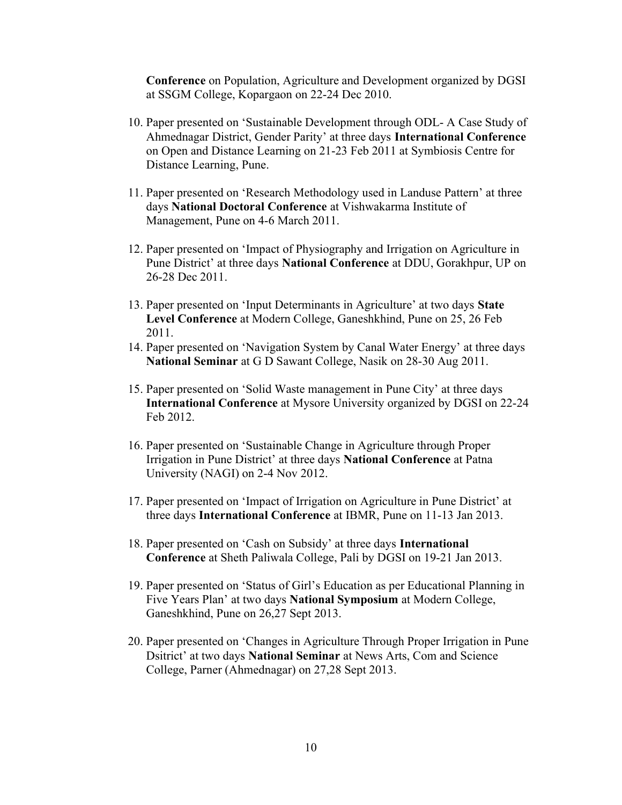Conference on Population, Agriculture and Development organized by DGSI at SSGM College, Kopargaon on 22-24 Dec 2010.

- 10. Paper presented on 'Sustainable Development through ODL- A Case Study of Ahmednagar District, Gender Parity' at three days International Conference on Open and Distance Learning on 21-23 Feb 2011 at Symbiosis Centre for Distance Learning, Pune.
- 11. Paper presented on 'Research Methodology used in Landuse Pattern' at three days National Doctoral Conference at Vishwakarma Institute of Management, Pune on 4-6 March 2011.
- 12. Paper presented on 'Impact of Physiography and Irrigation on Agriculture in Pune District' at three days National Conference at DDU, Gorakhpur, UP on 26-28 Dec 2011.
- 13. Paper presented on 'Input Determinants in Agriculture' at two days State Level Conference at Modern College, Ganeshkhind, Pune on 25, 26 Feb 2011.
- 14. Paper presented on 'Navigation System by Canal Water Energy' at three days National Seminar at G D Sawant College, Nasik on 28-30 Aug 2011.
- 15. Paper presented on 'Solid Waste management in Pune City' at three days International Conference at Mysore University organized by DGSI on 22-24 Feb 2012.
- 16. Paper presented on 'Sustainable Change in Agriculture through Proper Irrigation in Pune District' at three days National Conference at Patna University (NAGI) on 2-4 Nov 2012.
- 17. Paper presented on 'Impact of Irrigation on Agriculture in Pune District' at three days International Conference at IBMR, Pune on 11-13 Jan 2013.
- 18. Paper presented on 'Cash on Subsidy' at three days International Conference at Sheth Paliwala College, Pali by DGSI on 19-21 Jan 2013.
- 19. Paper presented on 'Status of Girl's Education as per Educational Planning in Five Years Plan' at two days National Symposium at Modern College, Ganeshkhind, Pune on 26,27 Sept 2013.
- 20. Paper presented on 'Changes in Agriculture Through Proper Irrigation in Pune Dsitrict' at two days National Seminar at News Arts, Com and Science College, Parner (Ahmednagar) on 27,28 Sept 2013.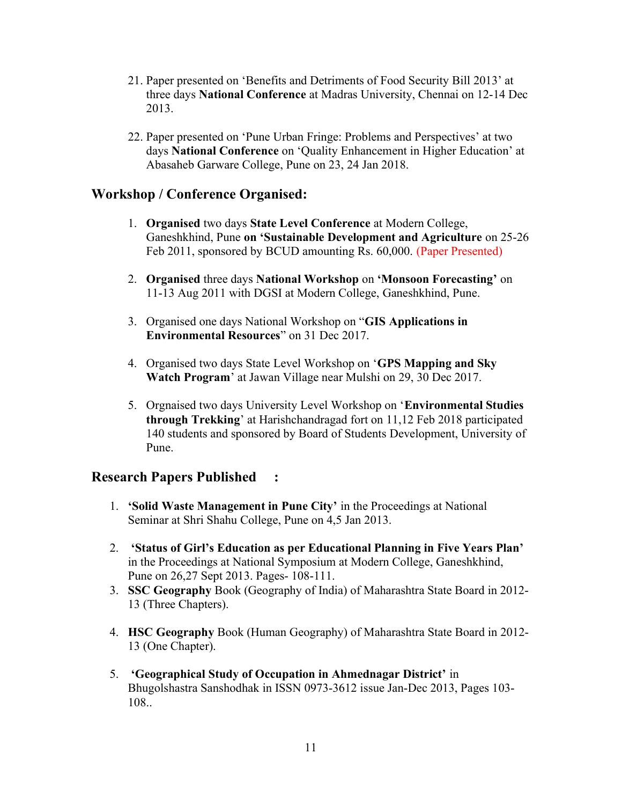- 21. Paper presented on 'Benefits and Detriments of Food Security Bill 2013' at three days National Conference at Madras University, Chennai on 12-14 Dec 2013.
- 22. Paper presented on 'Pune Urban Fringe: Problems and Perspectives' at two days National Conference on 'Quality Enhancement in Higher Education' at Abasaheb Garware College, Pune on 23, 24 Jan 2018.

# Workshop / Conference Organised:

- 1. Organised two days State Level Conference at Modern College, Ganeshkhind, Pune on 'Sustainable Development and Agriculture on 25-26 Feb 2011, sponsored by BCUD amounting Rs. 60,000. (Paper Presented)
- 2. Organised three days National Workshop on 'Monsoon Forecasting' on 11-13 Aug 2011 with DGSI at Modern College, Ganeshkhind, Pune.
- 3. Organised one days National Workshop on "GIS Applications in Environmental Resources" on 31 Dec 2017.
- 4. Organised two days State Level Workshop on 'GPS Mapping and Sky Watch Program' at Jawan Village near Mulshi on 29, 30 Dec 2017.
- 5. Orgnaised two days University Level Workshop on 'Environmental Studies through Trekking' at Harishchandragad fort on 11,12 Feb 2018 participated 140 students and sponsored by Board of Students Development, University of Pune.

# Research Papers Published :

- 1. 'Solid Waste Management in Pune City' in the Proceedings at National Seminar at Shri Shahu College, Pune on 4,5 Jan 2013.
- 2. 'Status of Girl's Education as per Educational Planning in Five Years Plan' in the Proceedings at National Symposium at Modern College, Ganeshkhind, Pune on 26,27 Sept 2013. Pages- 108-111.
- 3. SSC Geography Book (Geography of India) of Maharashtra State Board in 2012- 13 (Three Chapters).
- 4. HSC Geography Book (Human Geography) of Maharashtra State Board in 2012- 13 (One Chapter).
- 5. 'Geographical Study of Occupation in Ahmednagar District' in Bhugolshastra Sanshodhak in ISSN 0973-3612 issue Jan-Dec 2013, Pages 103- 108..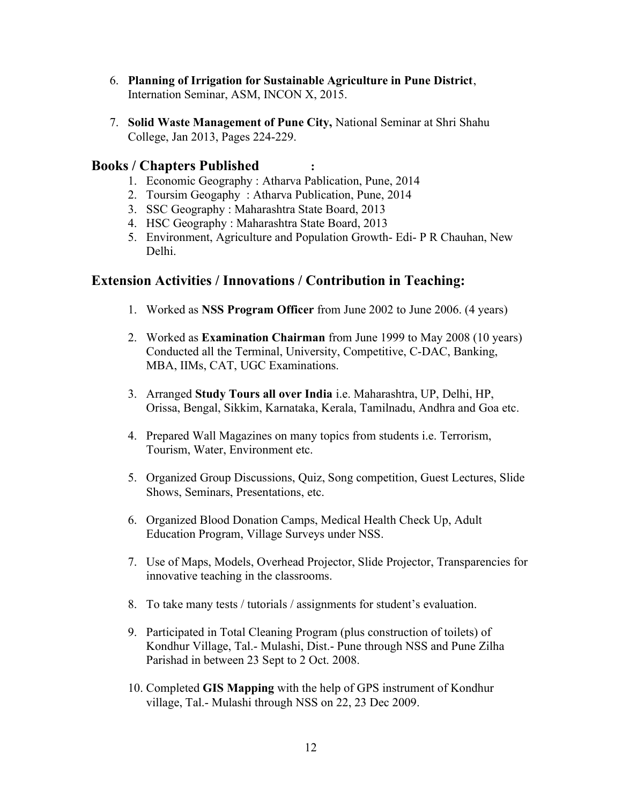- 6. Planning of Irrigation for Sustainable Agriculture in Pune District, Internation Seminar, ASM, INCON X, 2015.
- 7. Solid Waste Management of Pune City, National Seminar at Shri Shahu College, Jan 2013, Pages 224-229.

#### Books / Chapters Published :

- 1. Economic Geography : Atharva Pablication, Pune, 2014
- 2. Toursim Geogaphy : Atharva Publication, Pune, 2014
- 3. SSC Geography : Maharashtra State Board, 2013
- 4. HSC Geography : Maharashtra State Board, 2013
- 5. Environment, Agriculture and Population Growth- Edi- P R Chauhan, New Delhi.

#### Extension Activities / Innovations / Contribution in Teaching:

- 1. Worked as NSS Program Officer from June 2002 to June 2006. (4 years)
- 2. Worked as Examination Chairman from June 1999 to May 2008 (10 years) Conducted all the Terminal, University, Competitive, C-DAC, Banking, MBA, IIMs, CAT, UGC Examinations.
- 3. Arranged Study Tours all over India i.e. Maharashtra, UP, Delhi, HP, Orissa, Bengal, Sikkim, Karnataka, Kerala, Tamilnadu, Andhra and Goa etc.
- 4. Prepared Wall Magazines on many topics from students i.e. Terrorism, Tourism, Water, Environment etc.
- 5. Organized Group Discussions, Quiz, Song competition, Guest Lectures, Slide Shows, Seminars, Presentations, etc.
- 6. Organized Blood Donation Camps, Medical Health Check Up, Adult Education Program, Village Surveys under NSS.
- 7. Use of Maps, Models, Overhead Projector, Slide Projector, Transparencies for innovative teaching in the classrooms.
- 8. To take many tests / tutorials / assignments for student's evaluation.
- 9. Participated in Total Cleaning Program (plus construction of toilets) of Kondhur Village, Tal.- Mulashi, Dist.- Pune through NSS and Pune Zilha Parishad in between 23 Sept to 2 Oct. 2008.
- 10. Completed GIS Mapping with the help of GPS instrument of Kondhur village, Tal.- Mulashi through NSS on 22, 23 Dec 2009.